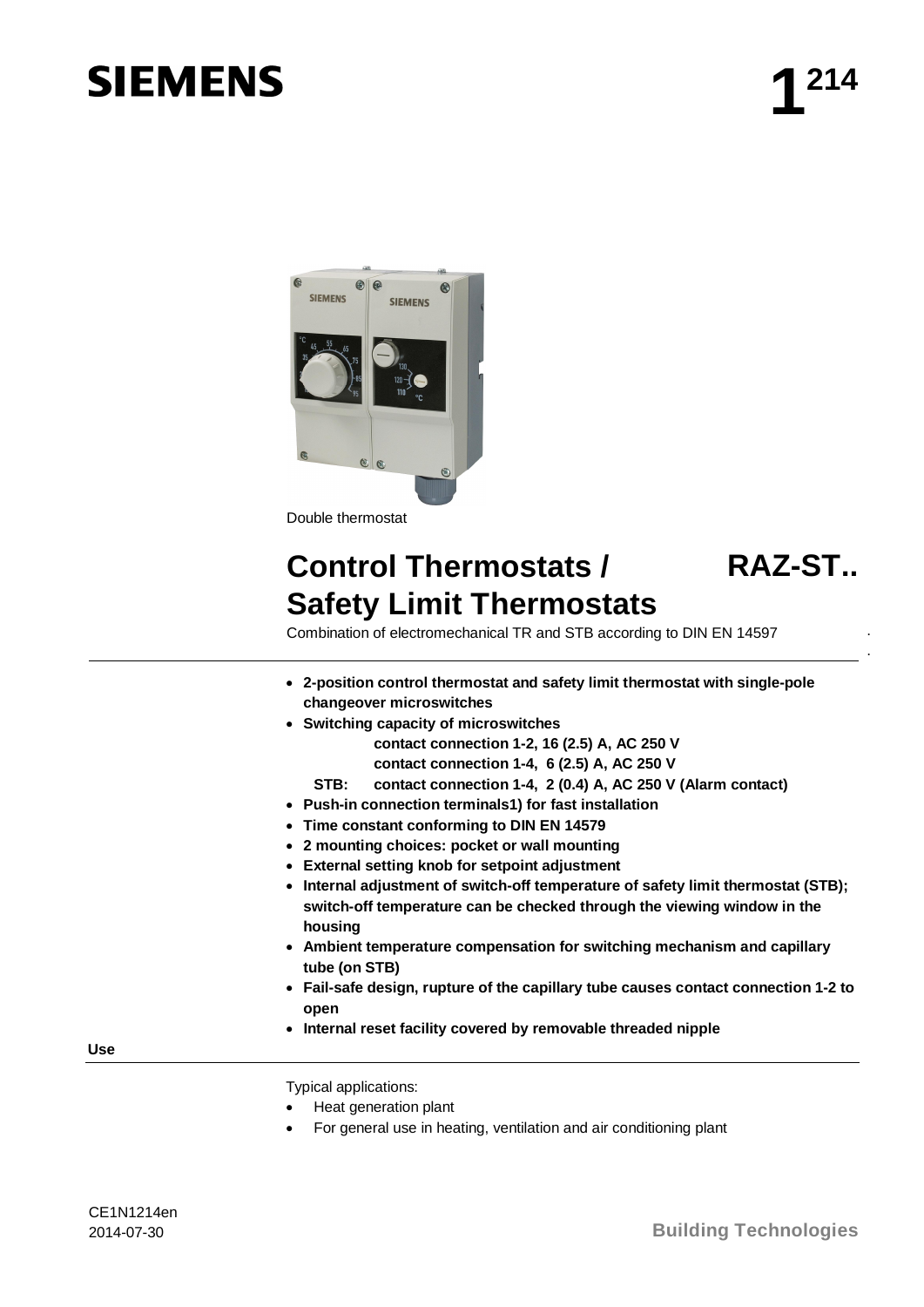# **SIEMENS**



## **Control Thermostats / Safety Limit Thermostats**

### **RAZ-ST..**

. .

Combination of electromechanical TR and STB according to DIN EN 14597

- x **2-position control thermostat and safety limit thermostat with single-pole changeover microswitches**
- x **Switching capacity of microswitches** 
	- **contact connection 1-2, 16 (2.5) A, AC 250 V**
	- **contact connection 1-4, 6 (2.5) A, AC 250 V**
	- **STB: contact connection 1-4, 2 (0.4) A, AC 250 V (Alarm contact)**
- x **Push-in connection terminals1) for fast installation**
- x **Time constant conforming to DIN EN 14579**
- x **2 mounting choices: pocket or wall mounting**
- **External setting knob for setpoint adjustment**
- Internal adjustment of switch-off temperature of safety limit thermostat (STB); **switch-off temperature can be checked through the viewing window in the housing**
- **EXED MEN EXEDED FOR DEATH IN STARK IN SHOW AND FORM IN SHOW FORM CAPILLY And SHOW FORM CONDUM CONDUM CONDUM CONDUM CONDUM CONDUM CONDUM CONDUM CONDUM CONDUM CONDUM CONDUM CONDUM CONDUM CO tube (on STB)**
- **Fail-safe design, rupture of the capillary tube causes contact connection 1-2 to open**
- **Internal reset facility covered by removable threaded nipple**

**Use** 

Typical applications:

- Heat generation plant
- For general use in heating, ventilation and air conditioning plant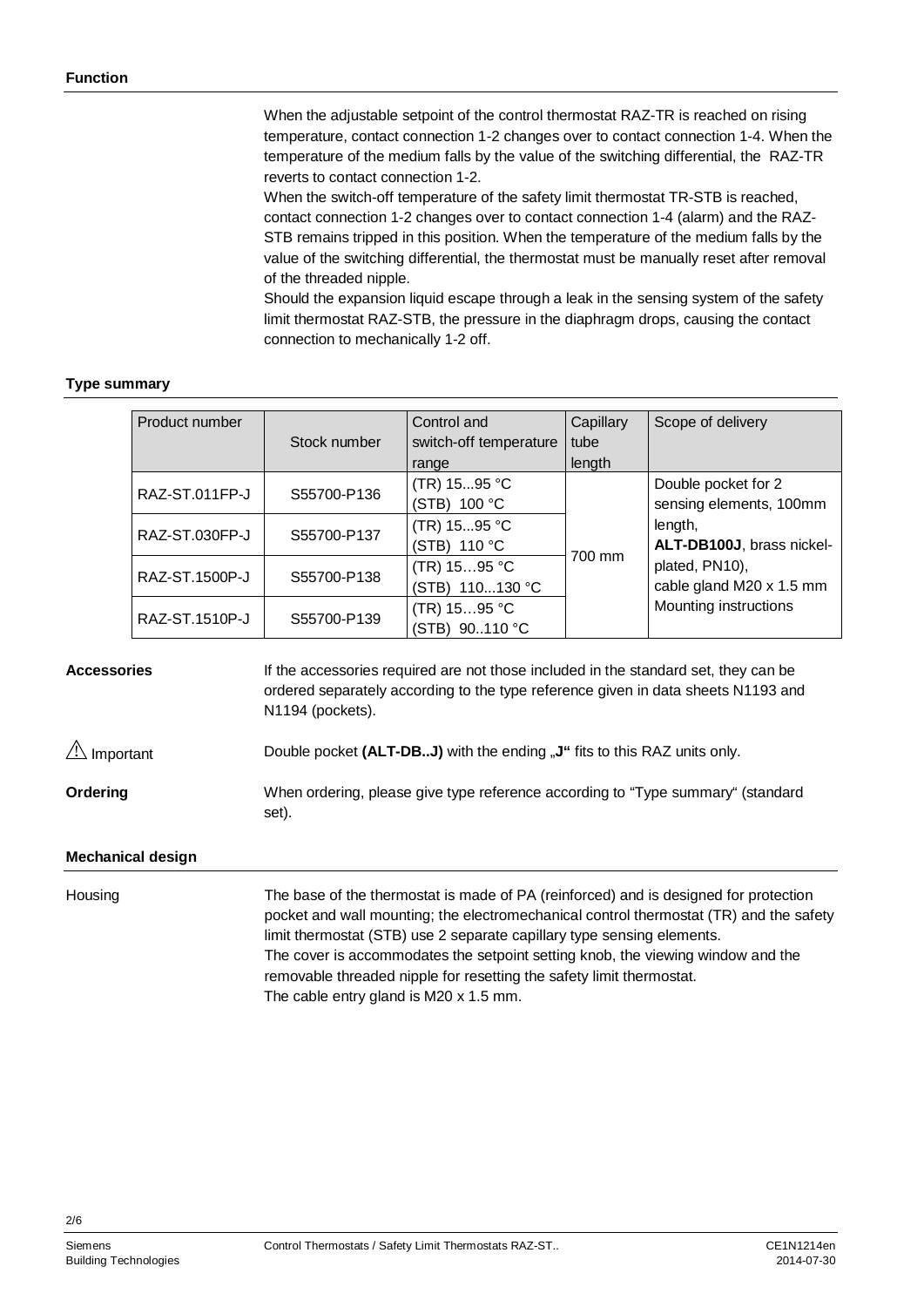When the adjustable setpoint of the control thermostat RAZ-TR is reached on rising temperature, contact connection 1-2 changes over to contact connection 1-4. When the temperature of the medium falls by the value of the switching differential, the RAZ-TR reverts to contact connection 1-2.

When the switch-off temperature of the safety limit thermostat TR-STB is reached, contact connection 1-2 changes over to contact connection 1-4 (alarm) and the RAZ-STB remains tripped in this position. When the temperature of the medium falls by the value of the switching differential, the thermostat must be manually reset after removal of the threaded nipple.

Should the expansion liquid escape through a leak in the sensing system of the safety limit thermostat RAZ-STB, the pressure in the diaphragm drops, causing the contact connection to mechanically 1-2 off.

#### **Type summary**

| Product number | Stock number | Control and<br>switch-off temperature<br>range | Capillary<br>tube<br>length | Scope of delivery                              |
|----------------|--------------|------------------------------------------------|-----------------------------|------------------------------------------------|
| RAZ-ST.011FP-J | S55700-P136  | (TR) $1595$ °C<br>(STB) 100 °C                 |                             | Double pocket for 2<br>sensing elements, 100mm |
| RAZ-ST.030FP-J | S55700-P137  | (TR) $1595$ °C<br>(STB) 110 °C                 |                             | length,<br>ALT-DB100J, brass nickel-           |
| RAZ-ST.1500P-J | S55700-P138  | $(TR)$ 1595 °C<br>(STB) 110130 °C              | 700 mm                      | plated, PN10),<br>cable gland M20 x 1.5 mm     |
| RAZ-ST.1510P-J | S55700-P139  | $(TR)$ 1595 °C<br>(STB) 90110 °C               |                             | Mounting instructions                          |

If the accessories required are not those included in the standard set, they can be ordered separately according to the type reference given in data sheets N1193 and N1194 (pockets). **Accessories** 

Double pocket (ALT-DB..J) with the ending "J" fits to this RAZ units only.  $\triangle$  Important

When ordering, please give type reference according to "Type summary" (standard set). **Ordering** 

#### **Mechanical design**

The base of the thermostat is made of PA (reinforced) and is designed for protection pocket and wall mounting; the electromechanical control thermostat (TR) and the safety limit thermostat (STB) use 2 separate capillary type sensing elements. The cover is accommodates the setpoint setting knob, the viewing window and the removable threaded nipple for resetting the safety limit thermostat. The cable entry gland is M20 x 1.5 mm. **Housing** 

 $2/6$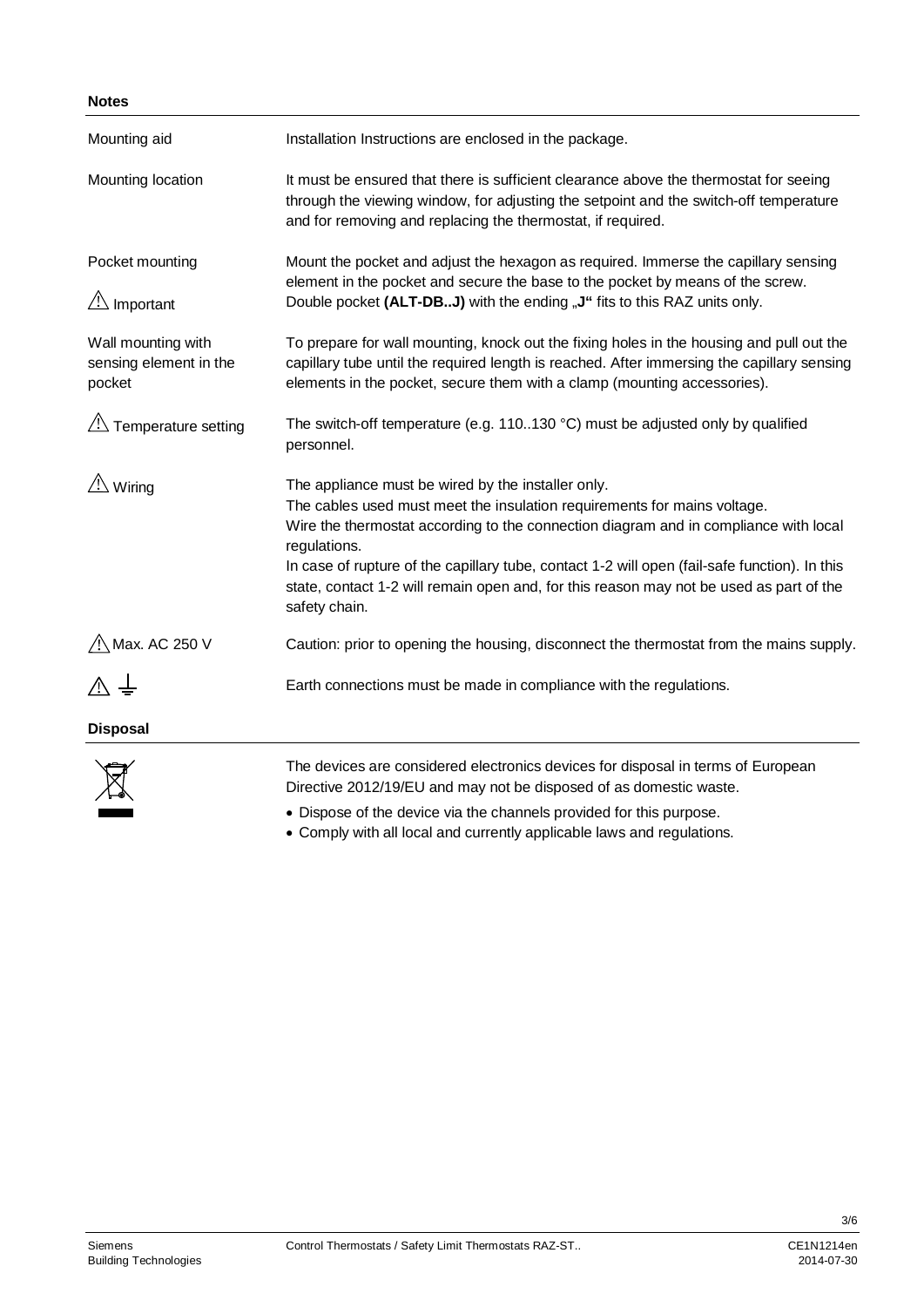| Mounting aid                                           | Installation Instructions are enclosed in the package.                                                                                                                                                                                                                                                                                                                                                                                              |  |  |
|--------------------------------------------------------|-----------------------------------------------------------------------------------------------------------------------------------------------------------------------------------------------------------------------------------------------------------------------------------------------------------------------------------------------------------------------------------------------------------------------------------------------------|--|--|
| Mounting location                                      | It must be ensured that there is sufficient clearance above the thermostat for seeing<br>through the viewing window, for adjusting the setpoint and the switch-off temperature<br>and for removing and replacing the thermostat, if required.                                                                                                                                                                                                       |  |  |
| Pocket mounting<br>$\sqrt{!}$ Important                | Mount the pocket and adjust the hexagon as required. Immerse the capillary sensing<br>element in the pocket and secure the base to the pocket by means of the screw.<br>Double pocket (ALT-DBJ) with the ending "J" fits to this RAZ units only.                                                                                                                                                                                                    |  |  |
| Wall mounting with<br>sensing element in the<br>pocket | To prepare for wall mounting, knock out the fixing holes in the housing and pull out the<br>capillary tube until the required length is reached. After immersing the capillary sensing<br>elements in the pocket, secure them with a clamp (mounting accessories).                                                                                                                                                                                  |  |  |
| $\sqrt{2}$ Temperature setting                         | The switch-off temperature (e.g. 110130 $^{\circ}$ C) must be adjusted only by qualified<br>personnel.                                                                                                                                                                                                                                                                                                                                              |  |  |
| $\sqrt{N}$ Wiring                                      | The appliance must be wired by the installer only.<br>The cables used must meet the insulation requirements for mains voltage.<br>Wire the thermostat according to the connection diagram and in compliance with local<br>regulations.<br>In case of rupture of the capillary tube, contact 1-2 will open (fail-safe function). In this<br>state, contact 1-2 will remain open and, for this reason may not be used as part of the<br>safety chain. |  |  |
| / Max. AC 250 V                                        | Caution: prior to opening the housing, disconnect the thermostat from the mains supply.                                                                                                                                                                                                                                                                                                                                                             |  |  |
|                                                        | Earth connections must be made in compliance with the regulations.                                                                                                                                                                                                                                                                                                                                                                                  |  |  |
| <b>Disposal</b>                                        |                                                                                                                                                                                                                                                                                                                                                                                                                                                     |  |  |
|                                                        | The devices are considered electronics devices for disposal in terms of European<br>Directive 2012/19/EU and may not be disposed of as domestic waste.                                                                                                                                                                                                                                                                                              |  |  |

- Dispose of the device via the channels provided for this purpose.
- Comply with all local and currently applicable laws and regulations.

3/6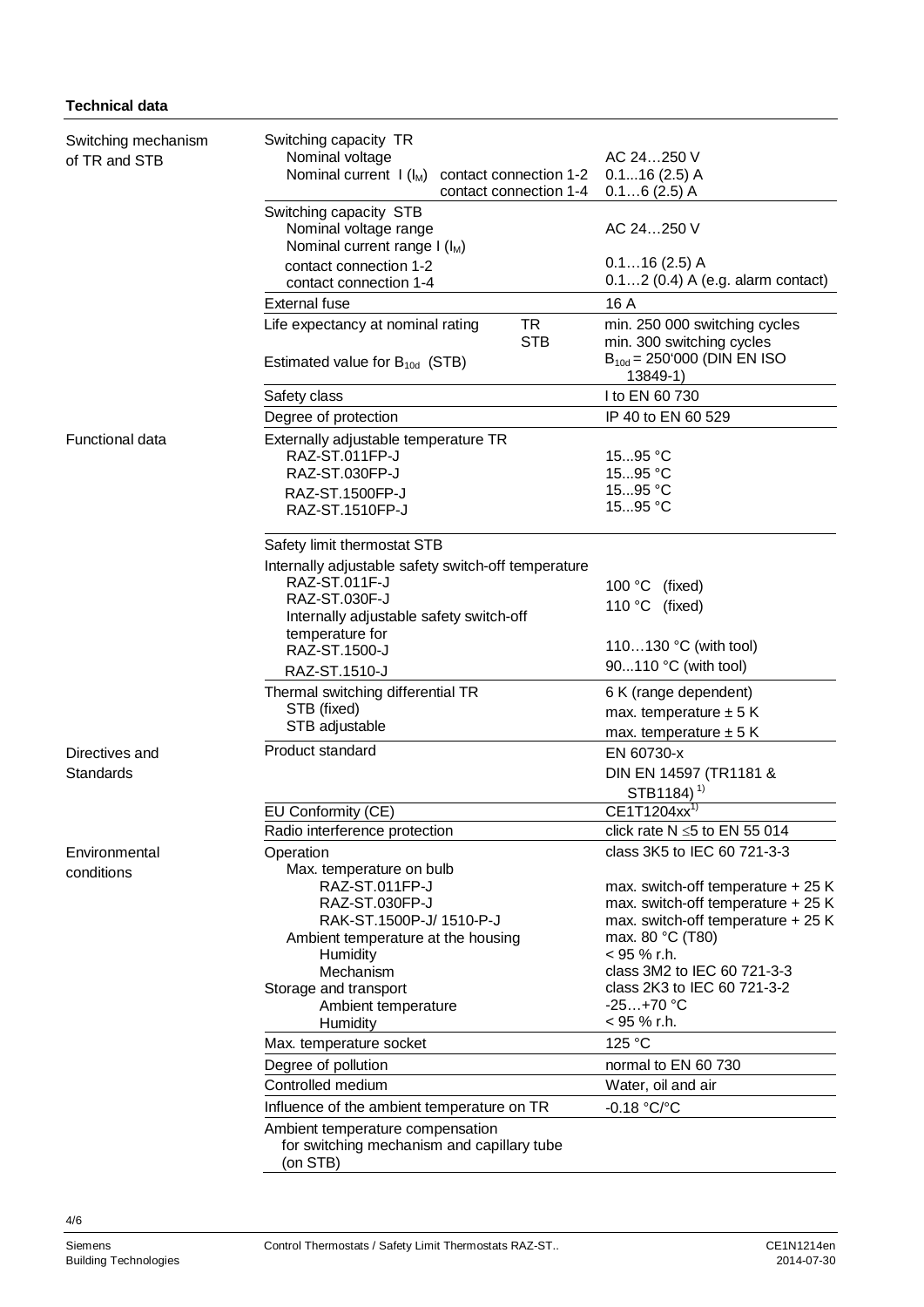#### **Technical data**

| Switching mechanism<br>of TR and STB | Switching capacity TR<br>Nominal voltage<br>Nominal current $I(I_M)$<br>contact connection 1-2<br>contact connection 1-4 | AC 24250 V<br>$0.116(2.5)$ A<br>$0.16(2.5)$ A                                                                                      |
|--------------------------------------|--------------------------------------------------------------------------------------------------------------------------|------------------------------------------------------------------------------------------------------------------------------------|
|                                      | Switching capacity STB<br>Nominal voltage range<br>Nominal current range $I(I_M)$                                        | AC 24250 V                                                                                                                         |
|                                      | contact connection 1-2<br>contact connection 1-4                                                                         | $0.116(2.5)$ A<br>0.12 (0.4) A (e.g. alarm contact)                                                                                |
|                                      | <b>External fuse</b>                                                                                                     | 16 A                                                                                                                               |
|                                      | <b>TR</b><br>Life expectancy at nominal rating<br><b>STB</b>                                                             | min. 250 000 switching cycles<br>min. 300 switching cycles                                                                         |
|                                      | Estimated value for $B_{10d}$ (STB)                                                                                      | $B_{10d} = 250'000$ (DIN EN ISO<br>13849-1)                                                                                        |
|                                      | Safety class                                                                                                             | I to EN 60 730                                                                                                                     |
|                                      | Degree of protection                                                                                                     | IP 40 to EN 60 529                                                                                                                 |
| <b>Functional data</b>               | Externally adjustable temperature TR<br>RAZ-ST.011FP-J                                                                   | 1595 $^{\circ}$ C                                                                                                                  |
|                                      | RAZ-ST.030FP-J                                                                                                           | 1595 °C                                                                                                                            |
|                                      | RAZ-ST.1500FP-J<br>RAZ-ST.1510FP-J                                                                                       | 1595 °C<br>1595 °C                                                                                                                 |
|                                      | Safety limit thermostat STB                                                                                              |                                                                                                                                    |
|                                      | Internally adjustable safety switch-off temperature<br>RAZ-ST.011F-J                                                     |                                                                                                                                    |
|                                      | RAZ-ST.030F-J<br>Internally adjustable safety switch-off                                                                 | 100 °C (fixed)<br>110 °C (fixed)                                                                                                   |
|                                      | temperature for<br>RAZ-ST.1500-J                                                                                         | 110130 °C (with tool)                                                                                                              |
|                                      | RAZ-ST.1510-J                                                                                                            | 90110 °C (with tool)                                                                                                               |
|                                      | Thermal switching differential TR<br>STB (fixed)<br>STB adjustable                                                       | 6 K (range dependent)<br>max. temperature $\pm$ 5 K                                                                                |
|                                      | Product standard                                                                                                         | max. temperature $\pm$ 5 K                                                                                                         |
| Directives and<br>Standards          |                                                                                                                          | EN 60730-x<br>DIN EN 14597 (TR1181 &<br>STB1184) <sup>1)</sup>                                                                     |
|                                      | EU Conformity (CE)                                                                                                       | CE1T1204xx <sup>1)</sup>                                                                                                           |
|                                      | Radio interference protection                                                                                            | click rate $N \le 5$ to EN 55 014                                                                                                  |
| Environmental<br>conditions          | Operation<br>Max. temperature on bulb                                                                                    | class 3K5 to IEC 60 721-3-3                                                                                                        |
|                                      | RAZ-ST.011FP-J<br>RAZ-ST.030FP-J<br>RAK-ST.1500P-J/ 1510-P-J<br>Ambient temperature at the housing                       | max. switch-off temperature + 25 K<br>max. switch-off temperature + 25 K<br>max. switch-off temperature + 25 K<br>max. 80 °C (T80) |
|                                      | Humidity<br>Mechanism                                                                                                    | < 95 % r.h.<br>class 3M2 to IEC 60 721-3-3                                                                                         |
|                                      | Storage and transport                                                                                                    | class 2K3 to IEC 60 721-3-2                                                                                                        |
|                                      | Ambient temperature                                                                                                      | $-25+70 °C$                                                                                                                        |
|                                      | Humidity                                                                                                                 | $<$ 95 % r.h.                                                                                                                      |
|                                      | Max. temperature socket                                                                                                  | 125 °C                                                                                                                             |
|                                      | Degree of pollution                                                                                                      | normal to EN 60 730                                                                                                                |
|                                      | Controlled medium                                                                                                        | Water, oil and air                                                                                                                 |
|                                      | Influence of the ambient temperature on TR                                                                               | -0.18 °C/°C                                                                                                                        |
|                                      | Ambient temperature compensation<br>for switching mechanism and capillary tube<br>(on STB)                               |                                                                                                                                    |

4/6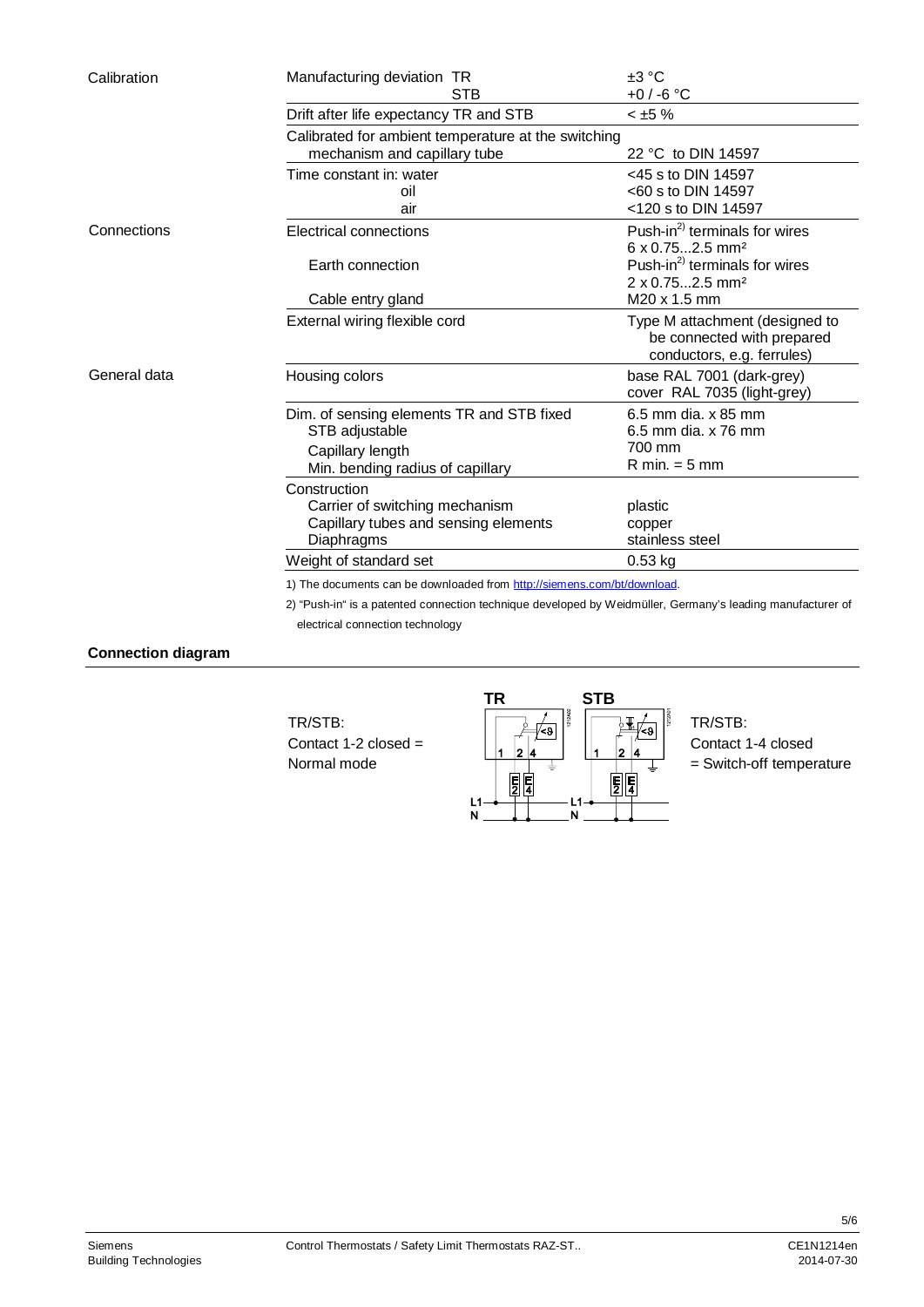| Calibration  | Manufacturing deviation TR<br><b>STB</b>                                                                            | $\pm 3 \degree C$<br>+0 / -6 °C                                                                            |  |  |
|--------------|---------------------------------------------------------------------------------------------------------------------|------------------------------------------------------------------------------------------------------------|--|--|
|              | Drift after life expectancy TR and STB                                                                              | $< \pm 5 \%$                                                                                               |  |  |
|              | Calibrated for ambient temperature at the switching<br>mechanism and capillary tube<br>22 °C to DIN 14597           |                                                                                                            |  |  |
|              | Time constant in: water<br>oil<br>air                                                                               | $<$ 45 s to DIN 14597<br><60 s to DIN 14597<br><120 s to DIN 14597                                         |  |  |
| Connections  | Electrical connections                                                                                              | Push-in <sup>2)</sup> terminals for wires<br>$6 \times 0.752.5$ mm <sup>2</sup>                            |  |  |
|              | Earth connection                                                                                                    | Push-in <sup>2)</sup> terminals for wires<br>2 x 0.752.5 mm <sup>2</sup>                                   |  |  |
|              | Cable entry gland<br>External wiring flexible cord                                                                  | M20 x 1.5 mm<br>Type M attachment (designed to<br>be connected with prepared<br>conductors, e.g. ferrules) |  |  |
| General data | Housing colors                                                                                                      | base RAL 7001 (dark-grey)<br>cover RAL 7035 (light-grey)                                                   |  |  |
|              | Dim. of sensing elements TR and STB fixed<br>STB adjustable<br>Capillary length<br>Min. bending radius of capillary | 6.5 mm dia, x 85 mm<br>6.5 mm dia, x 76 mm<br>700 mm<br>$R$ min. $=$ 5 mm                                  |  |  |
|              | Construction<br>Carrier of switching mechanism<br>Capillary tubes and sensing elements<br>Diaphragms                | plastic<br>copper<br>stainless steel                                                                       |  |  |
|              | Weight of standard set                                                                                              | $0.53$ kg                                                                                                  |  |  |
|              | 1) The documents can be downloaded from http://siemens.com/bt/download.                                             |                                                                                                            |  |  |
|              | 2) "Push-in" is a patented connection technique developed by Weidmüller, Germany's leading manufacturer of          |                                                                                                            |  |  |

electrical connection technology

**Connection diagram** 

TR/STB: Contact 1-2 closed = Normal mode



TR/STB: Contact 1-4 closed = Switch-off temperature